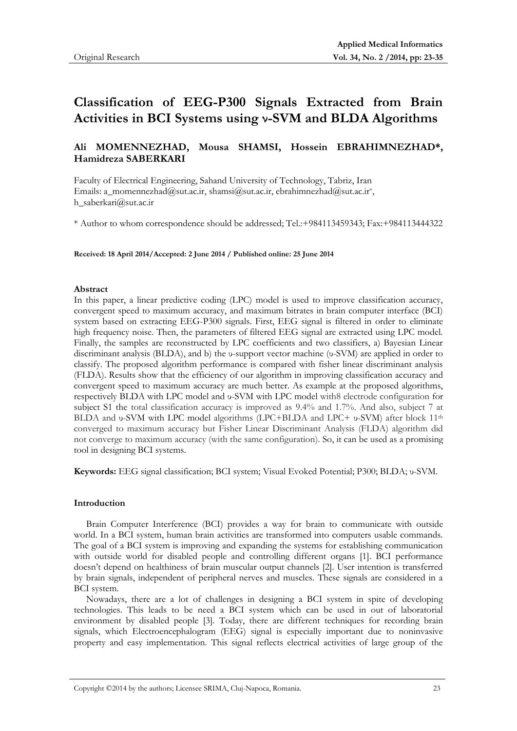# **Classification of EEG-P300 Signals Extracted from Brain Activities in BCI Systems using ν-SVM and BLDA Algorithms**

# **Ali MOMENNEZHAD, Mousa SHAMSI, Hossein EBRAHIMNEZHAD\*, Hamidreza SABERKARI**

Faculty of Electrical Engineering, Sahand University of Technology, Tabriz, Iran Emails: a\_momennezhad@sut.ac.ir, shamsi@sut.ac.ir, ebrahimnezhad@sut.ac.ir\*, h\_saberkari@sut.ac.ir

\* Author to whom correspondence should be addressed; Tel.:+984113459343; Fax:+984113444322

**Received: 18 April 2014/Accepted: 2 June 2014 / Published online: 25 June 2014** 

#### **Abstract**

In this paper, a linear predictive coding (LPC) model is used to improve classification accuracy, convergent speed to maximum accuracy, and maximum bitrates in brain computer interface (BCI) system based on extracting EEG-P300 signals. First, EEG signal is filtered in order to eliminate high frequency noise. Then, the parameters of filtered EEG signal are extracted using LPC model. Finally, the samples are reconstructed by LPC coefficients and two classifiers, a) Bayesian Linear discriminant analysis (BLDA), and b) the υ-support vector machine (υ-SVM) are applied in order to classify. The proposed algorithm performance is compared with fisher linear discriminant analysis (FLDA). Results show that the efficiency of our algorithm in improving classification accuracy and convergent speed to maximum accuracy are much better. As example at the proposed algorithms, respectively BLDA with LPC model and υ-SVM with LPC model with8 electrode configuration for subject S1 the total classification accuracy is improved as 9.4% and 1.7%. And also, subject 7 at BLDA and υ-SVM with LPC model algorithms (LPC+BLDA and LPC+ υ-SVM) after block 11<sup>th</sup> converged to maximum accuracy but Fisher Linear Discriminant Analysis (FLDA) algorithm did not converge to maximum accuracy (with the same configuration). So, it can be used as a promising tool in designing BCI systems.

**Keywords:** EEG signal classification; BCI system; Visual Evoked Potential; P300; BLDA; υ-SVM.

#### **Introduction**

Brain Computer Interference (BCI) provides a way for brain to communicate with outside world. In a BCI system, human brain activities are transformed into computers usable commands. The goal of a BCI system is improving and expanding the systems for establishing communication with outside world for disabled people and controlling different organs [1]. BCI performance doesn't depend on healthiness of brain muscular output channels [2]. User intention is transferred by brain signals, independent of peripheral nerves and muscles. These signals are considered in a BCI system.

Nowadays, there are a lot of challenges in designing a BCI system in spite of developing technologies. This leads to be need a BCI system which can be used in out of laboratorial environment by disabled people [3]. Today, there are different techniques for recording brain signals, which Electroencephalogram (EEG) signal is especially important due to noninvasive property and easy implementation. This signal reflects electrical activities of large group of the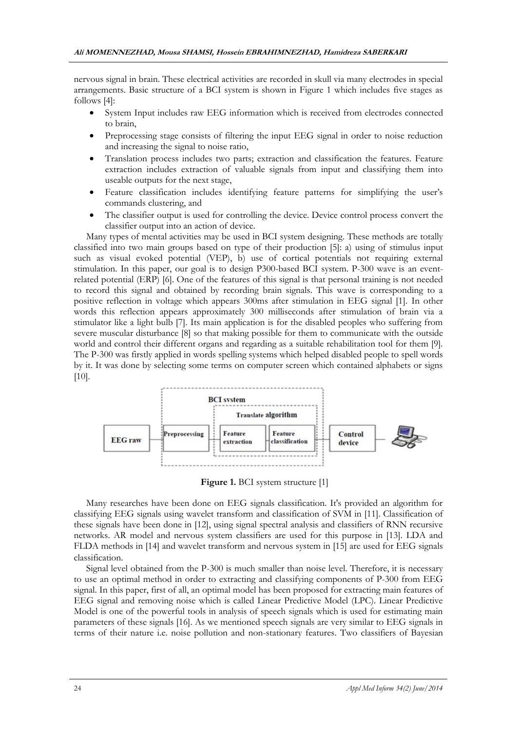nervous signal in brain. These electrical activities are recorded in skull via many electrodes in special arrangements. Basic structure of a BCI system is shown in Figure 1 which includes five stages as follows [4]:

- System Input includes raw EEG information which is received from electrodes connected to brain,
- Preprocessing stage consists of filtering the input EEG signal in order to noise reduction and increasing the signal to noise ratio,
- Translation process includes two parts; extraction and classification the features. Feature extraction includes extraction of valuable signals from input and classifying them into useable outputs for the next stage,
- Feature classification includes identifying feature patterns for simplifying the user's commands clustering, and
- The classifier output is used for controlling the device. Device control process convert the classifier output into an action of device.

Many types of mental activities may be used in BCI system designing. These methods are totally classified into two main groups based on type of their production [5]: a) using of stimulus input such as visual evoked potential (VEP), b) use of cortical potentials not requiring external stimulation. In this paper, our goal is to design P300-based BCI system. P-300 wave is an eventrelated potential (ERP) [6]. One of the features of this signal is that personal training is not needed to record this signal and obtained by recording brain signals. This wave is corresponding to a positive reflection in voltage which appears 300ms after stimulation in EEG signal [1]. In other words this reflection appears approximately 300 milliseconds after stimulation of brain via a stimulator like a light bulb [7]. Its main application is for the disabled peoples who suffering from severe muscular disturbance [8] so that making possible for them to communicate with the outside world and control their different organs and regarding as a suitable rehabilitation tool for them [9]. The P-300 was firstly applied in words spelling systems which helped disabled people to spell words by it. It was done by selecting some terms on computer screen which contained alphabets or signs [10].



**Figure 1.** BCI system structure [1]

Many researches have been done on EEG signals classification. It's provided an algorithm for classifying EEG signals using wavelet transform and classification of SVM in [11]. Classification of these signals have been done in [12], using signal spectral analysis and classifiers of RNN recursive networks. AR model and nervous system classifiers are used for this purpose in [13]. LDA and FLDA methods in [14] and wavelet transform and nervous system in [15] are used for EEG signals classification.

Signal level obtained from the P-300 is much smaller than noise level. Therefore, it is necessary to use an optimal method in order to extracting and classifying components of P-300 from EEG signal. In this paper, first of all, an optimal model has been proposed for extracting main features of EEG signal and removing noise which is called Linear Predictive Model (LPC). Linear Predictive Model is one of the powerful tools in analysis of speech signals which is used for estimating main parameters of these signals [16]. As we mentioned speech signals are very similar to EEG signals in terms of their nature i.e. noise pollution and non-stationary features. Two classifiers of Bayesian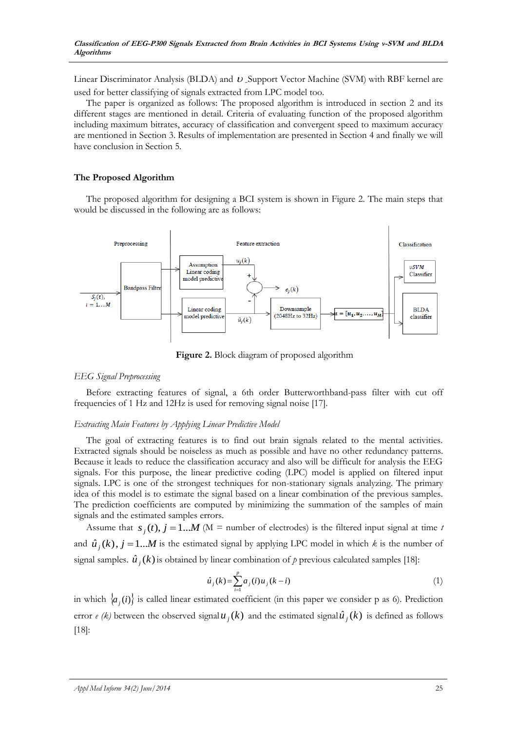Linear Discriminator Analysis (BLDA) and  $v$  Support Vector Machine (SVM) with RBF kernel are used for better classifying of signals extracted from LPC model too.

The paper is organized as follows: The proposed algorithm is introduced in section 2 and its different stages are mentioned in detail. Criteria of evaluating function of the proposed algorithm including maximum bitrates, accuracy of classification and convergent speed to maximum accuracy are mentioned in Section 3. Results of implementation are presented in Section 4 and finally we will have conclusion in Section 5.

# **The Proposed Algorithm**

The proposed algorithm for designing a BCI system is shown in Figure 2. The main steps that would be discussed in the following are as follows:



**Figure 2.** Block diagram of proposed algorithm

# *EEG Signal Preprocessing*

Before extracting features of signal, a 6th order Butterworthband-pass filter with cut off frequencies of 1 Hz and 12Hz is used for removing signal noise [17].

# *Extracting Main Features by Applying Linear Predictive Model*

The goal of extracting features is to find out brain signals related to the mental activities. Extracted signals should be noiseless as much as possible and have no other redundancy patterns. Because it leads to reduce the classification accuracy and also will be difficult for analysis the EEG signals. For this purpose, the linear predictive coding (LPC) model is applied on filtered input signals. LPC is one of the strongest techniques for non-stationary signals analyzing. The primary idea of this model is to estimate the signal based on a linear combination of the previous samples. The prediction coefficients are computed by minimizing the summation of the samples of main signals and the estimated samples errors.

Assume that  $s_j(t)$ ,  $j = 1...M$  (M = number of electrodes) is the filtered input signal at time *t* and  $\hat{u}_j(k)$ ,  $j = 1...M$  is the estimated signal by applying LPC model in which *k* is the number of signal samples.  $\hat{u}_j(k)$  is obtained by linear combination of p previous calculated samples [18]:

$$
\hat{u}_j(k) = \sum_{i=1}^p a_j(i) u_j(k-i)
$$
\n(1)

in which  $\{a_j(i)\}\$  is called linear estimated coefficient (in this paper we consider p as 6). Prediction error *e* (*k*) between the observed signal  $u_j(k)$  and the estimated signal  $\hat{u}_j(k)$  is defined as follows [18]: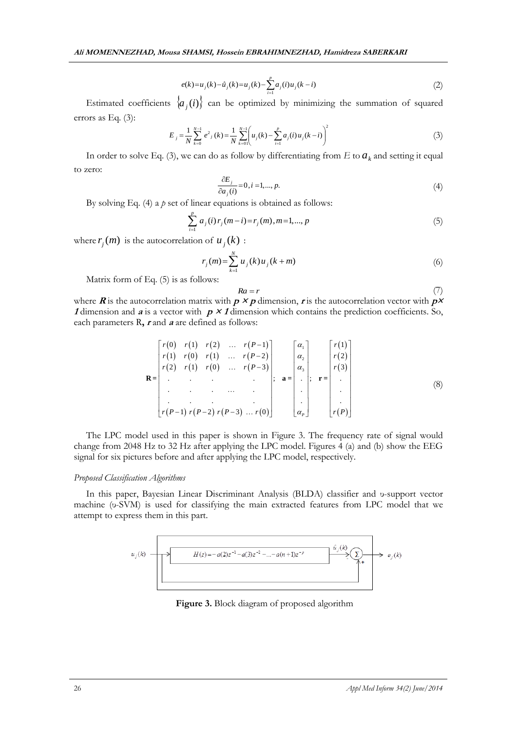$$
e(k) = u_j(k) - \hat{u}_j(k) = u_j(k) - \sum_{i=1}^p a_j(i)u_j(k-i)
$$
\n(2)

Estimated coefficients  $\{a_j(i)\}$  can be optimized by minimizing the summation of squared errors as Eq. (3):

$$
E_j = \frac{1}{N} \sum_{k=0}^{N-1} e^{2} (k) = \frac{1}{N} \sum_{k=0}^{N-1} \left( u_j(k) - \sum_{i=1}^{p} a_j(i) u_j(k-i) \right)^2
$$
 (3)

In order to solve Eq. (3), we can do as follow by differentiating from  $E$  to  $a_k$  and setting it equal to zero:

$$
\frac{\partial E_j}{\partial a_j(i)} = 0, i = 1, \dots, p. \tag{4}
$$

By solving Eq. (4) a *p* set of linear equations is obtained as follows:

$$
\sum_{i=1}^{p} a_j(i) r_j(m-i) = r_j(m), m = 1, ..., p
$$
\n(5)

where  $r_j(m)$  is the autocorrelation of  $u_j(k)$ :

$$
r_j(m) = \sum_{k=1}^{N} u_j(k) u_j(k+m)
$$
\n(6)

Matrix form of Eq. (5) is as follows:

$$
Ra = r
$$

(7)

where **R** is the autocorrelation matrix with  $p \times p$  dimension, **r** is the autocorrelation vector with  $p \times p$ **1** dimension and  $\boldsymbol{a}$  is a vector with  $\boldsymbol{p} \times \boldsymbol{1}$  dimension which contains the prediction coefficients. So,

*e(k)* = *u*, *(k)* = *a*, *(k)* = *a*, *(0) u*, *k* = *b*  
\nEtimated coefficients 
$$
\left\{a_j(i)\right\}
$$
 can be optimized by minimizing the summation of squared  
\ncross as Eq. (3):  
\n
$$
E_j = \frac{1}{N} \sum_{k=0}^{N-1} e^x
$$
,  $k = \frac{1}{N} \sum_{k=0}^{N-1} \left(u_j(k) - \sum_{k=1}^{N} a_j(0)u_j(k-1)\right)^2$ \n(3)  
\nIn order to solve Eq. (3), we can do as follows by differentiating from *F* to  $a_k$  and setting it equal  
\nto zero:  
\n
$$
\frac{\partial E_j}{\partial a_j(i)} = 0, i = 1, ..., p.
$$
\n(4)  
\nBy solving Eq. (4) a *p* set of linear equations is obtained as follows:  
\n
$$
\sum_{k=0}^{N} a_j(i)r_j(m-i) = r_j(m), m=1,..., p
$$
\n(5)  
\nwhere  $r_j(m)$  is the autocorrelation of  $u_j(k)$ .  
\nMatrix form of Eq. (5) is as follows:  
\n
$$
r_j(m) = \sum_{k=1}^{N} u_j(k)u_j(k+m)
$$
\n(6)  
\nMatrix form of Eq. (5) is as follows:  
\n
$$
\sum_{k=1}^{N} a_j(i)r_j(m-i) = r_j(m), m=1,..., p
$$
\n(7)  
\n
$$
R = \begin{bmatrix} r(0) & r(1) & r(2) & \dots & r(P-1) \\ r(2) & r(1) & r(0) & \dots & r(P-2) \\ \vdots & \vdots & \vdots & \vdots \\ r(P-1) & r(P-2) & r(P-3) & \dots & r(Q) \end{bmatrix}
$$
\n(8)  
\n
$$
R = \begin{bmatrix} r(1) & r(2) & \dots & r(P-1) \\ \vdots & \vdots & \vdots & \vdots \\ r(P-1) & r(P-2) & r(P-3) & \dots & r(Q) \end{bmatrix}
$$
\n(9)  
\nThe LPC model used in this paper is shown in Figure 3. The frequency rate of signal would  
\nchange from 2048 Hz to 32 Hz after applying the LPC model. Figure 4 (4) and (b) show

The LPC model used in this paper is shown in Figure 3. The frequency rate of signal would change from 2048 Hz to 32 Hz after applying the LPC model. Figures 4 (a) and (b) show the EEG signal for six pictures before and after applying the LPC model, respectively.

#### *Proposed Classification Algorithms*

In this paper, Bayesian Linear Discriminant Analysis (BLDA) classifier and υ-support vector machine (υ-SVM) is used for classifying the main extracted features from LPC model that we attempt to express them in this part.



**Figure 3.** Block diagram of proposed algorithm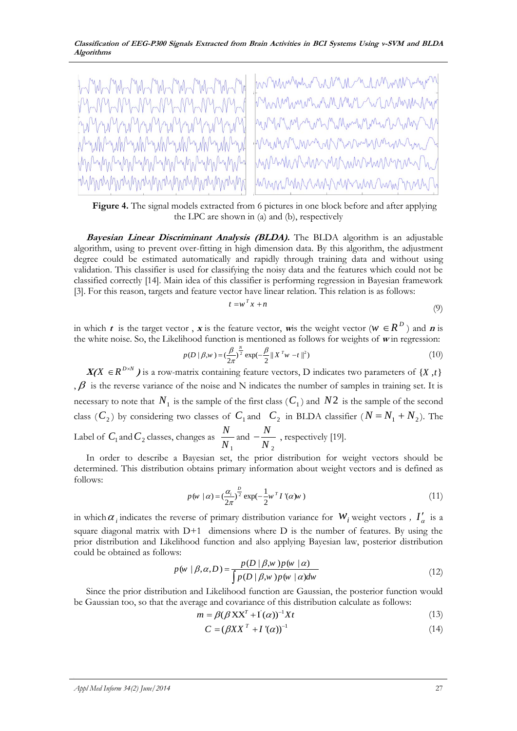

**Figure 4.** The signal models extracted from 6 pictures in one block before and after applying the LPC are shown in (a) and (b), respectively

**Bayesian Linear Discriminant Analysis (BLDA).** The BLDA algorithm is an adjustable algorithm, using to prevent over-fitting in high dimension data. By this algorithm, the adjustment degree could be estimated automatically and rapidly through training data and without using validation. This classifier is used for classifying the noisy data and the features which could not be classified correctly [14]. Main idea of this classifier is performing regression in Bayesian framework [3]. For this reason, targets and feature vector have linear relation. This relation is as follows:

$$
t = w^T x + n \tag{9}
$$

in which **t** is the target vector, **x** is the feature vector, **w**is the weight vector ( $W \in R^D$ ) and **n** is

the white noise. So, the Likelihood function is mentioned as follows for weights of **w** in regression:  
\n
$$
p(D \mid \beta, w) = \left(\frac{\beta}{2\pi}\right)^{\frac{N}{2}} \exp\left(-\frac{\beta}{2} \|X^T w - t\|^2\right) \tag{10}
$$

 $X(X \in R^{D \times N})$  is a row-matrix containing feature vectors, D indicates two parameters of  $\{X, t\}$ ,  $\beta$  is the reverse variance of the noise and N indicates the number of samples in training set. It is necessary to note that  $N_1$  is the sample of the first class  $(C_1)$  and  $N2$  is the sample of the second class ( $C_2$ ) by considering two classes of  $C_1$  and  $C_2$  in BLDA classifier ( $N = N_1 + N_2$ ). The Label of  $C_1$  and  $C_2$  classes, changes as 1 *N N* and 2 *N N*  $-\frac{1}{N}$ , respectively [19].

In order to describe a Bayesian set, the prior distribution for weight vectors should be determined. This distribution obtains primary information about weight vectors and is defined as follows:

$$
p(w \mid \alpha) = \left(\frac{\alpha_i}{2\pi}\right)^{\frac{D}{2}} \exp\left(-\frac{1}{2}w^T I'(a)w\right)
$$
\n(11)

in which  $\alpha_i$  indicates the reverse of primary distribution variance for  $w_i$  weight vectors *,*  $I'_\alpha$  is a square diagonal matrix with  $D+1$  dimensions where  $D$  is the number of features. By using the prior distribution and Likelihood function and also applying Bayesian law, posterior distribution could be obtained as follows:  $\beta$ ,w )  $p$  (w |  $\alpha$ )

$$
p(w \mid \beta, \alpha, D) = \frac{p(D \mid \beta, w) p(w \mid \alpha)}{\int p(D \mid \beta, w) p(w \mid \alpha) dw}
$$
(12)

Since the prior distribution and Likelihood function are Gaussian, the posterior function would be Gaussian too, so that the average and covariance of this distribution calculate as follows:<br>  $m = \beta(\beta XX^T + I(\alpha))^{-1}Xt$ 

$$
m = \beta(\beta \mathbf{X} \mathbf{X}^T + \mathbf{I}^{\dagger}(\alpha))^{-1} \mathbf{X} t \tag{13}
$$

$$
C = (\beta X X^T + I'(\alpha))^{-1}
$$
\n(14)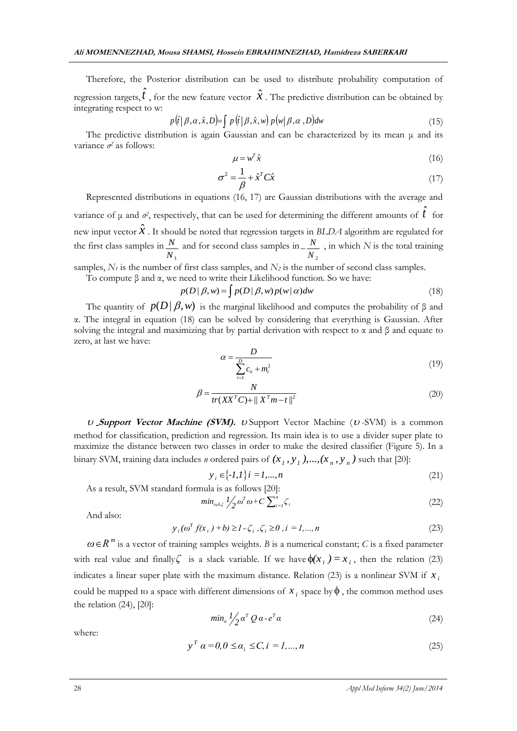Therefore, the Posterior distribution can be used to distribute probability computation of regression targets,  $\hat{t}$ , for the new feature vector  $\hat{x}$ . The predictive distribution can be obtained by integrating respect to w:

$$
p(\hat{t} | \beta, \alpha, \hat{x}, D) = \int p(\hat{t} | \beta, \hat{x}, w) p(w | \beta, \alpha, D) dw
$$
\n(15)

The predictive distribution is again Gaussian and can be characterized by its mean  $\mu$  and its variance *σ 2* as follows:

$$
\mu = w^T \hat{x} \tag{16}
$$

$$
\sigma^2 = \frac{1}{\beta} + \hat{x}^T C \hat{x}
$$
 (17)

Represented distributions in equations (16, 17) are Gaussian distributions with the average and variance of  $\mu$  and  $\sigma^2$ , respectively, that can be used for determining the different amounts of  $\hat{t}$  for new input vector  $\hat{x}$  . It should be noted that regression targets in *BLDA* algorithm are regulated for the first class samples in *N*1 *N* and for second class samples in  $N_{2}$  $\frac{N}{N}$ , in which *N* is the total training

samples,  $N_t$  is the number of first class samples, and  $N_2$  is the number of second class samples.

To compute  $\beta$  and  $\alpha$ , we need to write their Likelihood function. So we have:<br> $p(D | \beta, w) = \int p(D | \beta, w) p(w | \alpha) dw$ 

$$
p(D \mid \beta, w) = \int p(D \mid \beta, w) p(w \mid \alpha) dw \tag{18}
$$

The quantity of  $p(D | \beta, w)$  is the marginal likelihood and computes the probability of  $\beta$  and α. The integral in equation (18) can be solved by considering that everything is Gaussian. After solving the integral and maximizing that by partial derivation with respect to  $\alpha$  and  $\beta$  and equate to zero, at last we have:

1 *i*

$$
\alpha = \frac{D}{\sum_{i=1}^{D} c_{ii} + m_i^2} \tag{19}
$$

$$
\beta = \frac{N}{tr(XX^T C) + ||X^T m - t||^2}
$$
\n(20)

U Support Vector Machine (SVM). U Support Vector Machine (U-SVM) is a common method for classification, prediction and regression. Its main idea is to use a divider super plate to maximize the distance between two classes in order to make the desired classifier (Figure 5). In a binary SVM, training data includes *n* ordered pairs of  $(x_1, y_1)$ ,...,  $(x_n, y_n)$  such that [20]:

$$
y_i \in \{ -1, 1 \} \, i = 1, \dots, n \tag{21}
$$

As a result, SVM standard formula is as follows [20]:

$$
\min_{\omega, b, \zeta} l_2' \omega^T \omega + C \sum_{i=1}^n \zeta_i
$$
 (22)

And also:

$$
y_i(\omega^T f(x_i) + b) \ge 1 - \zeta_i, \zeta_i \ge 0, i = 1,...,n
$$
\n(23)

 $\omega \in R^m$  is a vector of training samples weights. B is a numerical constant; *C* is a fixed parameter with real value and finally is a slack variable. If we have  $\phi(x_i) = x_i$ , then the relation (23) indicates a linear super plate with the maximum distance. Relation (23) is a nonlinear SVM if  $x_i$ could be mapped to a space with different dimensions of  $x_i$  space by  $\phi$ , the common method uses the relation (24), [20]:

$$
min_{\alpha} \frac{1}{2} \alpha^T Q \alpha - e^T \alpha \tag{24}
$$

where:

$$
y^T \alpha = 0, 0 \le \alpha_i \le C, i = 1, ..., n
$$
 (25)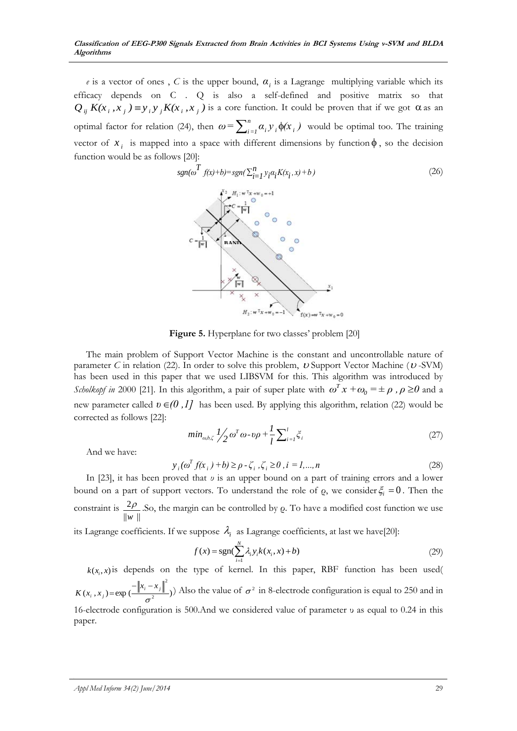*e* is a vector of ones, *C* is the upper bound,  $\alpha_i$  is a Lagrange multiplying variable which its efficacy depends on C . Q is also a self-defined and positive matrix so that  $Q_{ij} K(x_i, x_j) \equiv y_i y_j K(x_i, x_j)$  is a core function. It could be proven that if we got  $\alpha$  as an optimal factor for relation (24), then  $\omega = \sum_{i=1}^{n} \alpha_i y_i \phi(x_i)$  would be optimal too. The training vector of  $x_i$  is mapped into a space with different dimensions by function  $\phi$ , so the decision function would be as follows [20]:

$$
sgn(\omega^{T} f(x)+b)=sgn(\sum_{i=1}^{n} y_{i} \alpha_{i} K(x_{i}, x)+b)
$$
\n(26)

**Figure 5.** Hyperplane for two classes' problem [20]

The main problem of Support Vector Machine is the constant and uncontrollable nature of parameter  $C$  in relation (22). In order to solve this problem,  $\upsilon$  Support Vector Machine ( $\upsilon$ -SVM) has been used in this paper that we used LIBSVM for this. This algorithm was introduced by *Scholkopf in* 2000 [21]. In this algorithm, a pair of super plate with  $\omega^T x + \omega_0 = \pm \rho$ ,  $\rho \ge 0$  and a new parameter called  $v \in (0,1]$  has been used. By applying this algorithm, relation (22) would be corrected as follows [22]:

$$
min_{\omega, b, \zeta} I/2 \omega^T \omega \cdot \nu \rho + \frac{I}{l} \sum_{i=l}^{l} \zeta_i
$$
\n(27)

And we have:

$$
y_i(\omega^T f(x_i) + b) \ge \rho - \zeta_i, \zeta_i \ge 0, i = 1,...,n
$$
\n(28)

In [23], it has been proved that *υ* is an upper bound on a part of training errors and a lower bound on a part of support vectors. To understand the role of  $\rho$ , we consider  $\xi_i = 0$ . Then the constraint is  $\frac{2}{3}$  $||w||$  $\frac{\rho}{\rho}$ .So, the margin can be controlled by  $\rho$ . To have a modified cost function we use

its Lagrange coefficients. If we suppose  $\lambda_i$  as Lagrange coefficients, at last we have[20]:

$$
f(x) = \text{sgn}(\sum_{i=1}^{N} \lambda_i y_i k(x_i, x) + b)
$$
\n(29)

 $k(x, x)$  is depends on the type of kernel. In this paper, RBF function has been used(  $(x_i, x_j) = \exp\left(\frac{1+i}{\tau^2}\right)$ 2  $\sigma$ *i j*  $K(x_i, x_j) = \exp\left(\frac{-\left\|x_i - x_j\right\|^2}{2}\right)$  Also the value of  $\sigma^2$  in 8-electrode configuration is equal to 250 and in 16-electrode configuration is 500.And we considered value of parameter υ as equal to 0.24 in this paper.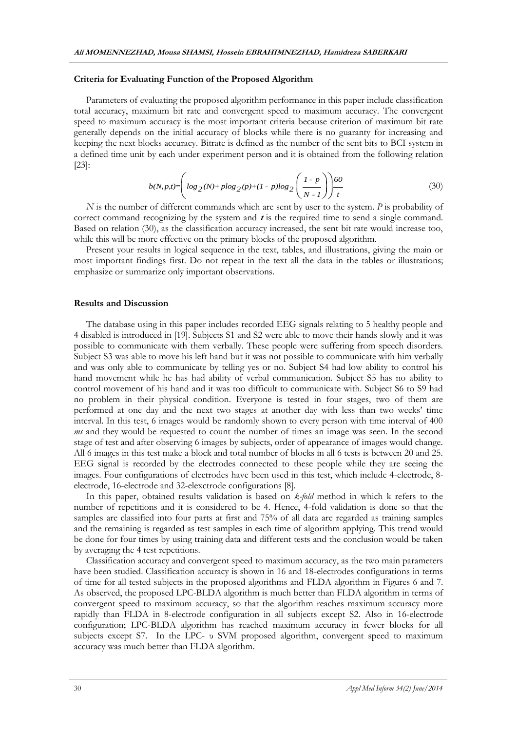#### **Criteria for Evaluating Function of the Proposed Algorithm**

Parameters of evaluating the proposed algorithm performance in this paper include classification total accuracy, maximum bit rate and convergent speed to maximum accuracy. The convergent speed to maximum accuracy is the most important criteria because criterion of maximum bit rate generally depends on the initial accuracy of blocks while there is no guaranty for increasing and keeping the next blocks accuracy. Bitrate is defined as the number of the sent bits to BCI system in a defined time unit by each under experiment person and it is obtained from the following relation [23]:

by each under experiment person and it is obtained from the following relation  
\n
$$
b(N, p, t) = \left( \log_2(N) + \frac{p}{\log_2(p)} + (1 - p)\log_2\left(\frac{1 - p}{N - 1}\right) \right) \frac{60}{t}
$$
\n(30)

*N* is the number of different commands which are sent by user to the system. *P* is probability of correct command recognizing by the system and **t** is the required time to send a single command. Based on relation (30), as the classification accuracy increased, the sent bit rate would increase too, while this will be more effective on the primary blocks of the proposed algorithm.

Present your results in logical sequence in the text, tables, and illustrations, giving the main or most important findings first. Do not repeat in the text all the data in the tables or illustrations; emphasize or summarize only important observations.

#### **Results and Discussion**

The database using in this paper includes recorded EEG signals relating to 5 healthy people and 4 disabled is introduced in [19]. Subjects S1 and S2 were able to move their hands slowly and it was possible to communicate with them verbally. These people were suffering from speech disorders. Subject S3 was able to move his left hand but it was not possible to communicate with him verbally and was only able to communicate by telling yes or no. Subject S4 had low ability to control his hand movement while he has had ability of verbal communication. Subject S5 has no ability to control movement of his hand and it was too difficult to communicate with. Subject S6 to S9 had no problem in their physical condition. Everyone is tested in four stages, two of them are performed at one day and the next two stages at another day with less than two weeks' time interval. In this test, 6 images would be randomly shown to every person with time interval of 400 ms and they would be requested to count the number of times an image was seen. In the second stage of test and after observing 6 images by subjects, order of appearance of images would change. All 6 images in this test make a block and total number of blocks in all 6 tests is between 20 and 25. EEG signal is recorded by the electrodes connected to these people while they are seeing the images. Four configurations of electrodes have been used in this test, which include 4-electrode, 8 electrode, 16-electrode and 32-elexctrode configurations [8].

In this paper, obtained results validation is based on *k-fold* method in which k refers to the number of repetitions and it is considered to be 4. Hence, 4-fold validation is done so that the samples are classified into four parts at first and 75% of all data are regarded as training samples and the remaining is regarded as test samples in each time of algorithm applying. This trend would be done for four times by using training data and different tests and the conclusion would be taken by averaging the 4 test repetitions.

Classification accuracy and convergent speed to maximum accuracy, as the two main parameters have been studied. Classification accuracy is shown in 16 and 18-electrodes configurations in terms of time for all tested subjects in the proposed algorithms and FLDA algorithm in Figures 6 and 7. As observed, the proposed LPC-BLDA algorithm is much better than FLDA algorithm in terms of convergent speed to maximum accuracy, so that the algorithm reaches maximum accuracy more rapidly than FLDA in 8-electrode configuration in all subjects except S2. Also in 16-electrode configuration; LPC-BLDA algorithm has reached maximum accuracy in fewer blocks for all subjects except S7. In the LPC- υ SVM proposed algorithm, convergent speed to maximum accuracy was much better than FLDA algorithm.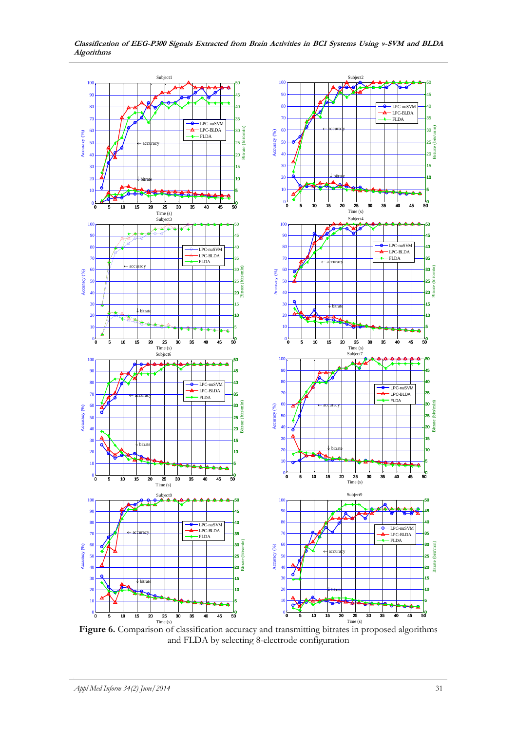

**Classification of EEG-P300 Signals Extracted from Brain Activities in BCI Systems Using ν-SVM and BLDA Algorithms**

**Figure 6.** Comparison of classification accuracy and transmitting bitrates in proposed algorithms and FLDA by selecting 8-electrode configuration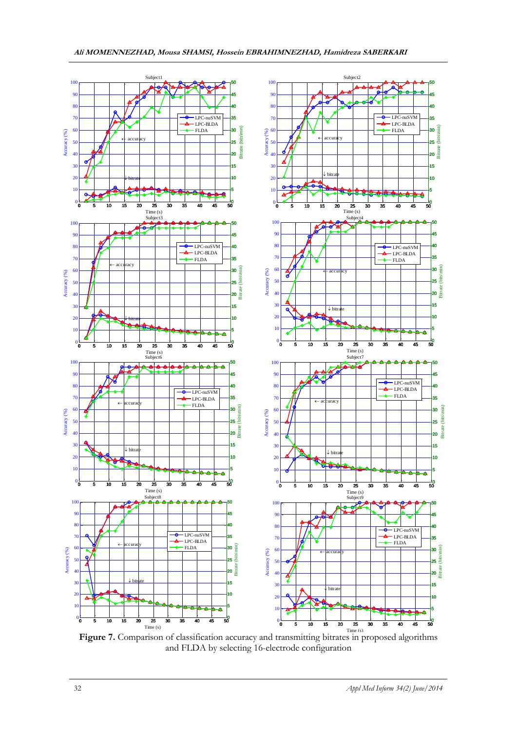

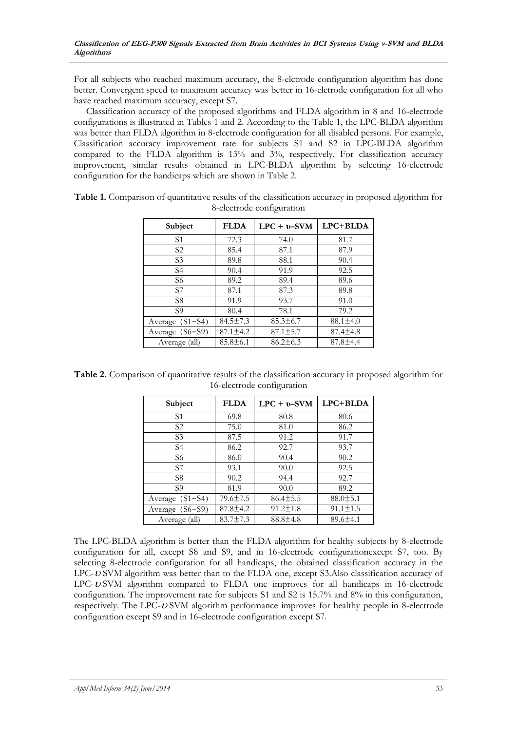For all subjects who reached maximum accuracy, the 8-elctrode configuration algorithm has done better. Convergent speed to maximum accuracy was better in 16-elctrode configuration for all who have reached maximum accuracy, except S7.

Classification accuracy of the proposed algorithms and FLDA algorithm in 8 and 16-electrode configurations is illustrated in Tables 1 and 2. According to the Table 1, the LPC-BLDA algorithm was better than FLDA algorithm in 8-electrode configuration for all disabled persons. For example, Classification accuracy improvement rate for subjects S1 and S2 in LPC-BLDA algorithm compared to the FLDA algorithm is 13% and 3%, respectively. For classification accuracy improvement, similar results obtained in LPC-BLDA algorithm by selecting 16-electrode configuration for the handicaps which are shown in Table 2.

| Subject           | <b>FLDA</b>    | $LPC + v-SVM$  | LPC+BLDA       |
|-------------------|----------------|----------------|----------------|
| S <sub>1</sub>    | 72.3           | 74.0           | 81.7           |
| S2                | 85.4           | 87.1           | 87.9           |
| S <sub>3</sub>    | 89.8           | 88.1           | 90.4           |
| S4                | 90.4           | 91.9           | 92.5           |
| S6                | 89.2           | 89.4           | 89.6           |
| S7                | 87.1           | 87.3           | 89.8           |
| S <sub>8</sub>    | 91.9           | 93.7           | 91.0           |
| S9                | 80.4           | 78.1           | 79.2           |
| Average $(S1-S4)$ | $84.5 \pm 7.3$ | $85.3 \pm 6.7$ | $88.1 \pm 4.0$ |
| Average (S6–S9)   | $87.1 \pm 4.2$ | $87.1 \pm 5.7$ | $87.4 \pm 4.8$ |
| Average (all)     | $85.8 \pm 6.1$ | $86.2 \pm 6.3$ | $87.8 \pm 4.4$ |

**Table 1.** Comparison of quantitative results of the classification accuracy in proposed algorithm for 8-electrode configuration

**Table 2.** Comparison of quantitative results of the classification accuracy in proposed algorithm for 16-electrode configuration

| Subject         | <b>FLDA</b>    | $LPC + v-SVM$  | LPC+BLDA       |
|-----------------|----------------|----------------|----------------|
| S <sub>1</sub>  | 69.8           | 80.8           | 80.6           |
| S <sub>2</sub>  | 75.0           | 81.0           | 86.2           |
| S <sub>3</sub>  | 87.5           | 91.2           | 91.7           |
| S4              | 86.2           | 92.7           | 93.7           |
| S6              | 86.0           | 90.4           | 90.2           |
| S7              | 93.1           | 90.0           | 92.5           |
| S8              | 90.2           | 94.4           | 92.7           |
| S9              | 81.9           | 90.0           | 89.2           |
| Average (S1-S4) | $79.6 \pm 7.5$ | $86.4 \pm 5.5$ | $88.0 \pm 5.1$ |
| Average (S6-S9) | $87.8 \pm 4.2$ | $91.2 \pm 1.8$ | $91.1 \pm 1.5$ |
| Average (all)   | $83.7 \pm 7.3$ | $88.8 \pm 4.8$ | $89.6 \pm 4.1$ |

The LPC-BLDA algorithm is better than the FLDA algorithm for healthy subjects by 8-electrode configuration for all, except S8 and S9, and in 16-electrode configurationexcept S7, too. By selecting 8-electrode configuration for all handicaps, the obtained classification accuracy in the LPC-U SVM algorithm was better than to the FLDA one, except S3.Also classification accuracy of LPC-USVM algorithm compared to FLDA one improves for all handicaps in 16-electrode configuration. The improvement rate for subjects S1 and S2 is 15.7% and 8% in this configuration, respectively. The LPC-USVM algorithm performance improves for healthy people in 8-electrode configuration except S9 and in 16-electrode configuration except S7.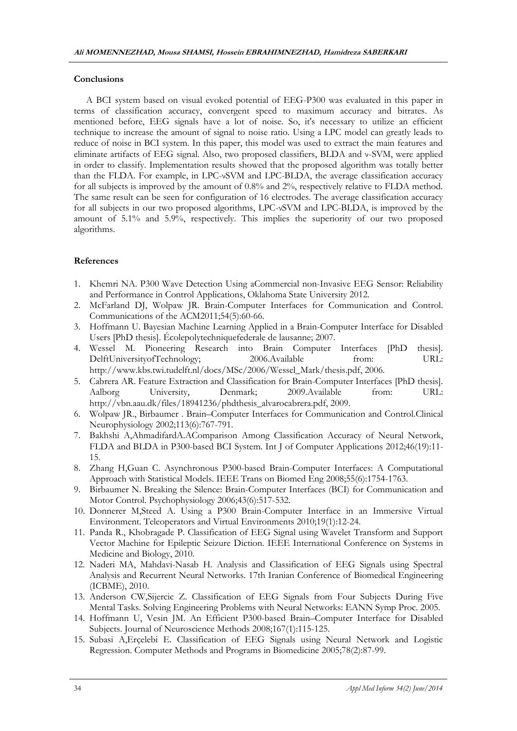### **Conclusions**

A BCI system based on visual evoked potential of EEG-P300 was evaluated in this paper in terms of classification accuracy, convergent speed to maximum accuracy and bitrates. As mentioned before, EEG signals have a lot of noise. So, it's necessary to utilize an efficient technique to increase the amount of signal to noise ratio. Using a LPC model can greatly leads to reduce of noise in BCI system. In this paper, this model was used to extract the main features and eliminate artifacts of EEG signal. Also, two proposed classifiers, BLDA and ν-SVM, were applied in order to classify. Implementation results showed that the proposed algorithm was totally better than the FLDA. For example, in LPC-νSVM and LPC-BLDA, the average classification accuracy for all subjects is improved by the amount of 0.8% and 2%, respectively relative to FLDA method. The same result can be seen for configuration of 16 electrodes. The average classification accuracy for all subjects in our two proposed algorithms, LPC-νSVM and LPC-BLDA, is improved by the amount of 5.1% and 5.9%, respectively. This implies the superiority of our two proposed algorithms.

# **References**

- 1. Khemri NA. P300 Wave Detection Using aCommercial non-Invasive EEG Sensor: Reliability and Performance in Control Applications, Oklahoma State University 2012.
- 2. McFarland DJ, Wolpaw JR. Brain-Computer Interfaces for Communication and Control. Communications of the ACM2011;54(5):60-66.
- 3. Hoffmann U. Bayesian Machine Learning Applied in a Brain-Computer Interface for Disabled Users [PhD thesis]. Écolepolytechniquefederale de lausanne; 2007.
- 4. Wessel M. Pioneering Research into Brain Computer Interfaces [PhD thesis]. DelftUniversityofTechnology; 2006.Available from: URL: http://www.kbs.twi.tudelft.nl/docs/MSc/2006/Wessel\_Mark/thesis.pdf, 2006.
- 5. Cabrera AR. Feature Extraction and Classification for Brain-Computer Interfaces [PhD thesis]. Aalborg University, Denmark; 2009.Available from: URL: http://vbn.aau.dk/files/18941236/phdthesis\_alvarocabrera.pdf, 2009.
- 6. Wolpaw JR., Birbaumer . Brain–Computer Interfaces for Communication and Control.Clinical Neurophysiology 2002;113(6):767-791.
- 7. Bakhshi A,AhmadifardA.AComparison Among Classification Accuracy of Neural Network, FLDA and BLDA in P300-based BCI System*.* Int J of Computer Applications 2012;46(19):11- 15.
- 8. Zhang H,Guan C. Asynchronous P300-based Brain-Computer Interfaces: A Computational Approach with Statistical Models. IEEE Trans on Biomed Eng 2008;55(6):1754-1763.
- 9. Birbaumer N. Breaking the Silence: Brain-Computer Interfaces (BCI) for Communication and Motor Control. Psychophysiology 2006;43(6):517-532.
- 10. Donnerer M,Steed A. Using a P300 Brain-Computer Interface in an Immersive Virtual Environment. Teleoperators and Virtual Environments 2010;19(1):12-24.
- 11. Panda R., Khobragade P. Classification of EEG Signal using Wavelet Transform and Support Vector Machine for Epileptic Seizure Diction. IEEE International Conference on Systems in Medicine and Biology, 2010.
- 12. Naderi MA, Mahdavi-Nasab H. Analysis and Classification of EEG Signals using Spectral Analysis and Recurrent Neural Networks. 17th Iranian Conference of Biomedical Engineering (ICBME), 2010.
- 13. Anderson CW,Sijercic Z. Classification of EEG Signals from Four Subjects During Five Mental Tasks. Solving Engineering Problems with Neural Networks: EANN Symp Proc. 2005.
- 14. Hoffmann U, Vesin JM. An Efficient P300-based Brain–Computer Interface for Disabled Subjects. Journal of Neuroscience Methods 2008;167(1):115-125.
- 15. Subasi A,Erçelebi E. Classification of EEG Signals using Neural Network and Logistic Regression. Computer Methods and Programs in Biomedicine 2005;78(2):87-99.